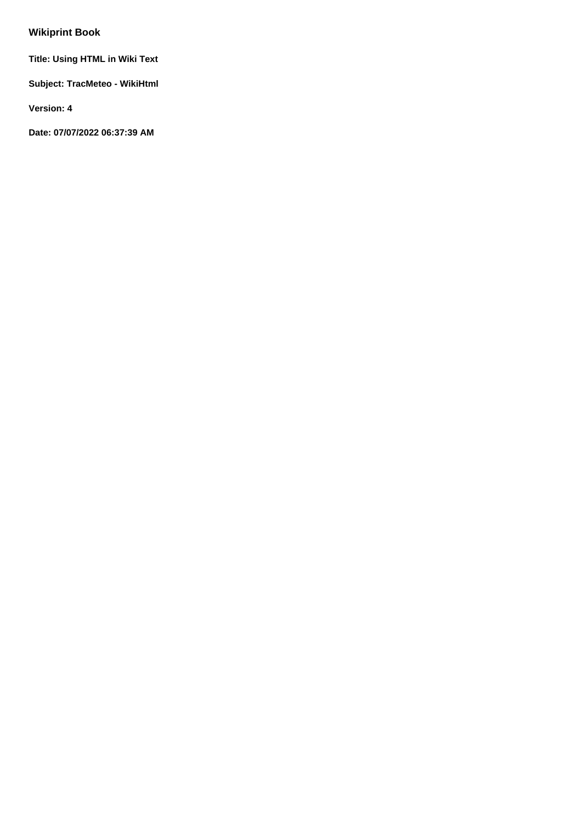# **Wikiprint Book**

**Title: Using HTML in Wiki Text**

**Subject: TracMeteo - WikiHtml**

**Version: 4**

**Date: 07/07/2022 06:37:39 AM**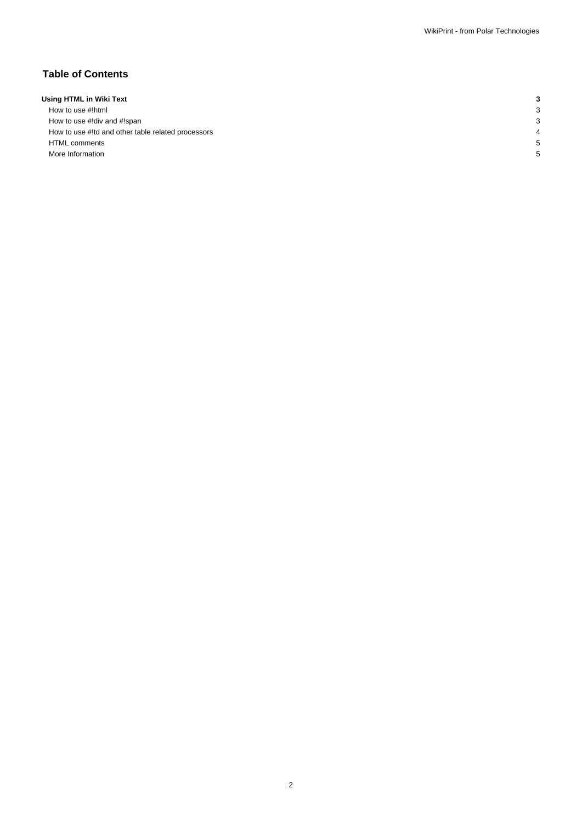## **Table of Contents**

| Using HTML in Wiki Text                            |   |
|----------------------------------------------------|---|
| How to use #!html                                  | c |
| How to use #!div and #!span                        | c |
| How to use #!td and other table related processors |   |
| <b>HTML</b> comments                               |   |
| More Information                                   |   |
|                                                    |   |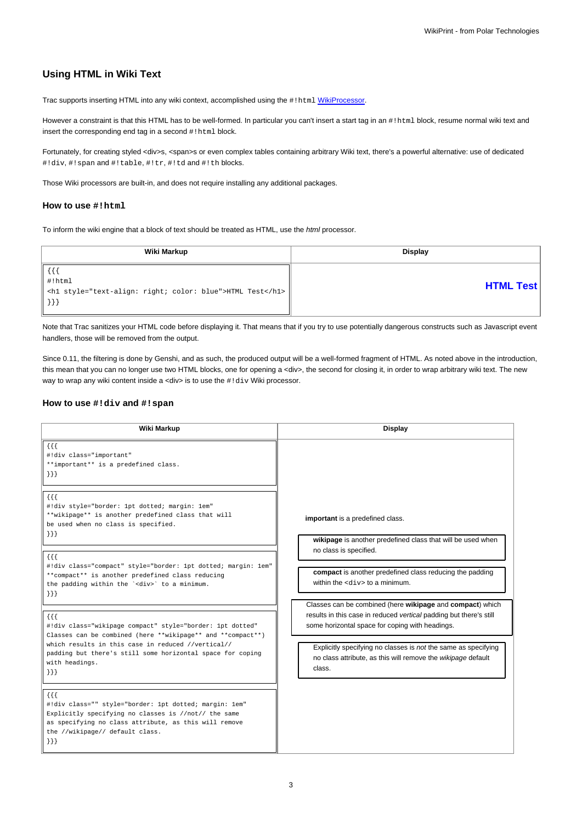# **Using HTML in Wiki Text**

Trac supports inserting HTML into any wiki context, accomplished using the #!html [WikiProcessor](https://meteo.unican.es/trac/wiki/WikiProcessors).

However a constraint is that this HTML has to be well-formed. In particular you can't insert a start tag in an #!html block, resume normal wiki text and insert the corresponding end tag in a second #!html block.

Fortunately, for creating styled <div>s, <span>s or even complex tables containing arbitrary Wiki text, there's a powerful alternative: use of dedicated #!div, #!span and #!table, #!tr, #!td and #!th blocks.

Those Wiki processors are built-in, and does not require installing any additional packages.

#### **How to use #!html**

To inform the wiki engine that a block of text should be treated as HTML, use the html processor.

| Wiki Markup                                                                                          | Display          |
|------------------------------------------------------------------------------------------------------|------------------|
| {{{<br>$ $ #!html<br><h1 style="text-align: right; color: blue">HTML Test</h1><br>$\vert\vert$ } } ] | <b>HTML Test</b> |

Note that Trac sanitizes your HTML code before displaying it. That means that if you try to use potentially dangerous constructs such as Javascript event handlers, those will be removed from the output.

Since 0.11, the filtering is done by Genshi, and as such, the produced output will be a well-formed fragment of HTML. As noted above in the introduction, this mean that you can no longer use two HTML blocks, one for opening a <div>, the second for closing it, in order to wrap arbitrary wiki text. The new way to wrap any wiki content inside a <div> is to use the #!div Wiki processor.

#### **How to use #!div and #!span**

| Wiki Markup                                                                                                                                                                                                                                                                                                                                                                                                                                                                                                                                                                                                                                                                                                                                                                                                                                                                                                                                                                                                                                                 | <b>Display</b>                                                                                                                                                                                                                                                                                                                                                                                                                                                                                                                                               |
|-------------------------------------------------------------------------------------------------------------------------------------------------------------------------------------------------------------------------------------------------------------------------------------------------------------------------------------------------------------------------------------------------------------------------------------------------------------------------------------------------------------------------------------------------------------------------------------------------------------------------------------------------------------------------------------------------------------------------------------------------------------------------------------------------------------------------------------------------------------------------------------------------------------------------------------------------------------------------------------------------------------------------------------------------------------|--------------------------------------------------------------------------------------------------------------------------------------------------------------------------------------------------------------------------------------------------------------------------------------------------------------------------------------------------------------------------------------------------------------------------------------------------------------------------------------------------------------------------------------------------------------|
| $\{\{\}$<br>#!div class="important"<br>**important** is a predefined class.<br>$\{\}$<br>$\{\{\}$<br>#!div style="border: 1pt dotted; margin: 1em"<br>**wikipage** is another predefined class that will<br>be used when no class is specified.<br>$\{\}$<br>$\{\{\}$<br>#!div class="compact" style="border: 1pt dotted; margin: 1em"<br>**compact** is another predefined class reducing<br>the padding within the ' <div>' to a minimum.<br/><math>\{\}</math><br/><math>\{\{\}</math><br/>#!div class="wikipage compact" style="border: 1pt dotted"<br/>Classes can be combined (here **wikipage** and **compact**)<br/>which results in this case in reduced //vertical//<br/>padding but there's still some horizontal space for coping<br/>with headings.<br/><math>\{\}</math><br/><math>\{ \}</math><br/>#!div class="" style="border: 1pt dotted; margin: 1em"<br/>Explicitly specifying no classes is //not// the same<br/>as specifying no class attribute, as this will remove<br/>the //wikipage// default class.<br/><math>\{\}</math></div> | important is a predefined class.<br>wikipage is another predefined class that will be used when<br>no class is specified.<br>compact is another predefined class reducing the padding<br>within the $<$ div> to a minimum.<br>Classes can be combined (here wikipage and compact) which<br>results in this case in reduced vertical padding but there's still<br>some horizontal space for coping with headings.<br>Explicitly specifying no classes is not the same as specifying<br>no class attribute, as this will remove the wikipage default<br>class. |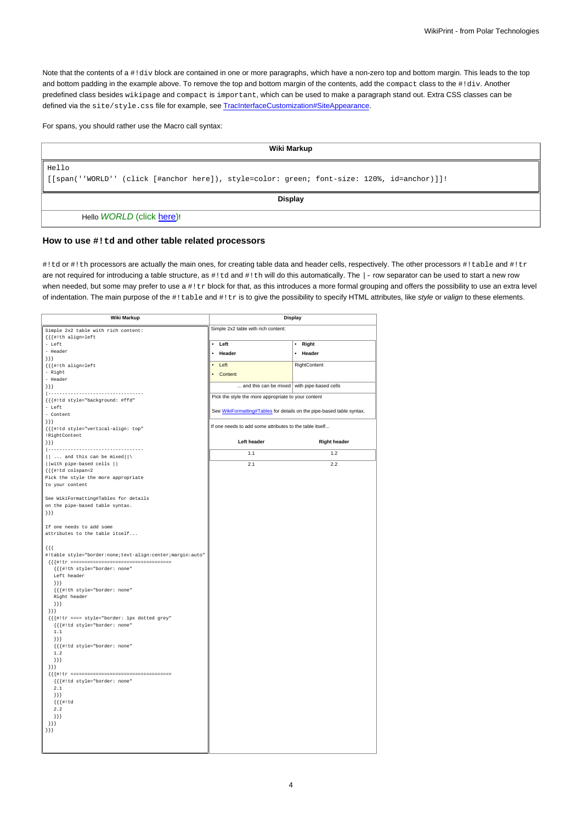Note that the contents of a #!div block are contained in one or more paragraphs, which have a non-zero top and bottom margin. This leads to the top and bottom padding in the example above. To remove the top and bottom margin of the contents, add the compact class to the #!div. Another predefined class besides wikipage and compact is important, which can be used to make a paragraph stand out. Extra CSS classes can be defined via the site/style.css file for example, see [TracInterfaceCustomization#SiteAppearance.](https://meteo.unican.es/trac/wiki/TracInterfaceCustomization#SiteAppearance)

For spans, you should rather use the Macro call syntax:

| Wiki Markup                                                                                   |  |
|-----------------------------------------------------------------------------------------------|--|
| Hello                                                                                         |  |
| [[span(''WORLD'' (click [#anchor here]), style=color: green; font-size: 120%, id=anchor)]]! [ |  |
| <b>Display</b>                                                                                |  |
| Hello WORLD (click here)!                                                                     |  |

### **How to use #!td and other table related processors**

#!td or #!th processors are actually the main ones, for creating table data and header cells, respectively. The other processors #!table and #!tr are not required for introducing a table structure, as #!td and #!th will do this automatically. The |- row separator can be used to start a new row when needed, but some may prefer to use a #!tr block for that, as this introduces a more formal grouping and offers the possibility to use an extra level of indentation. The main purpose of the #!table and #!tr is to give the possibility to specify HTML attributes, like style or valign to these elements.

| <b>Wiki Markup</b>                                        |                                                                       | <b>Display</b>      |
|-----------------------------------------------------------|-----------------------------------------------------------------------|---------------------|
| Simple 2x2 table with rich content:                       | Simple 2x2 table with rich content:                                   |                     |
| $\{\{\{\#! \text{th align=left} \} \} \}$                 |                                                                       |                     |
| - Left                                                    | • Left                                                                | Right<br>$\bullet$  |
| - Header                                                  | • Header                                                              | • Header            |
| $\{$ } } }                                                |                                                                       |                     |
| $\{\{\{\#\text{!th align=left}\}\}\}$                     | $\bullet$ Left                                                        | RightContent        |
| - Right                                                   | • Content                                                             |                     |
| - Header                                                  |                                                                       |                     |
| $\{\}$                                                    | and this can be mixed with pipe-based cells                           |                     |
| ----------------------------------                        | Pick the style the more appropriate to your content                   |                     |
| {{{#!td style="background: #ffd"                          |                                                                       |                     |
| - Left                                                    | See WikiFormatting#Tables for details on the pipe-based table syntax. |                     |
| - Content                                                 |                                                                       |                     |
| $\{\}$                                                    | If one needs to add some attributes to the table itself               |                     |
| {{{#!td style="vertical-align: top"                       |                                                                       |                     |
| !RightContent                                             |                                                                       |                     |
| $\{\}$                                                    | Left header                                                           | <b>Right header</b> |
| __________________________                                | 1.1                                                                   | 1.2                 |
| $  $ and this can be mixed $   \cdot$                     |                                                                       |                     |
| with pipe-based cells                                     | 2.1                                                                   | 2.2                 |
| $\{\{\{\#\} \text{td colspans}$                           |                                                                       |                     |
| Pick the style the more appropriate                       |                                                                       |                     |
| to your content                                           |                                                                       |                     |
|                                                           |                                                                       |                     |
| See WikiFormatting#Tables for details                     |                                                                       |                     |
| on the pipe-based table syntax.                           |                                                                       |                     |
| $\{\}$                                                    |                                                                       |                     |
|                                                           |                                                                       |                     |
| If one needs to add some                                  |                                                                       |                     |
| attributes to the table itself                            |                                                                       |                     |
|                                                           |                                                                       |                     |
| $\{ \{ \}$                                                |                                                                       |                     |
| #!table style="border:none;text-align:center;margin:auto" |                                                                       |                     |
|                                                           |                                                                       |                     |
| {{{#!th style="border: none"<br>Left header               |                                                                       |                     |
| ${}_{\}$ } } }                                            |                                                                       |                     |
| {{{#!th style="border: none"                              |                                                                       |                     |
| Right header                                              |                                                                       |                     |
| ${}_{\{\}\}}$                                             |                                                                       |                     |
| $\{\}$                                                    |                                                                       |                     |
| {{{#!tr ==== style="border: lpx dotted grey"              |                                                                       |                     |
| {{{#!td style="border: none"                              |                                                                       |                     |
| $1\,.1$                                                   |                                                                       |                     |
| ${}_{\{\}\}}$                                             |                                                                       |                     |
| {{{#!td style="border: none"                              |                                                                       |                     |
| 1.2                                                       |                                                                       |                     |
| ${}_{\{\}\}}$                                             |                                                                       |                     |
| ${}}$                                                     |                                                                       |                     |
|                                                           |                                                                       |                     |
| {{{#!td style="border: none"                              |                                                                       |                     |
| 2.1                                                       |                                                                       |                     |
| $\{\}$ }                                                  |                                                                       |                     |
| ${({\{ \#! \text{ td}\}}\$                                |                                                                       |                     |
| 2.2                                                       |                                                                       |                     |
| ${}_{\{\}\}}$                                             |                                                                       |                     |
| ${}_{\{\}\}}$                                             |                                                                       |                     |
| $\{\}$                                                    |                                                                       |                     |
|                                                           |                                                                       |                     |
|                                                           |                                                                       |                     |
|                                                           |                                                                       |                     |